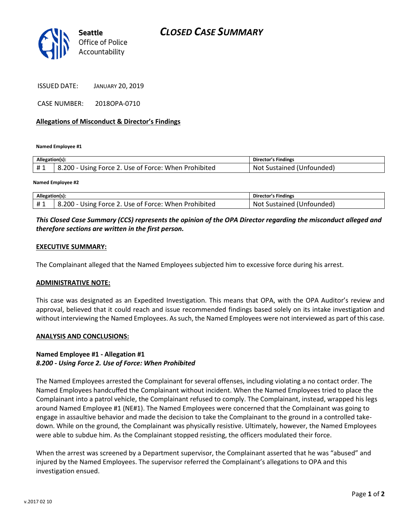

ISSUED DATE: JANUARY 20, 2019

CASE NUMBER: 2018OPA-0710

#### **Allegations of Misconduct & Director's Findings**

**Named Employee #1**

| Allegation(s): |                                                      | Director's Findings       |
|----------------|------------------------------------------------------|---------------------------|
| #1             | 8.200 - Using Force 2. Use of Force: When Prohibited | Not Sustained (Unfounded) |
|                |                                                      |                           |

**Named Employee #2**

| Allegation(s): |                                                      | Director's Findings       |
|----------------|------------------------------------------------------|---------------------------|
| <b>H</b> 1     | 8.200 - Using Force 2. Use of Force: When Prohibited | Not Sustained (Unfounded) |

## *This Closed Case Summary (CCS) represents the opinion of the OPA Director regarding the misconduct alleged and therefore sections are written in the first person.*

#### **EXECUTIVE SUMMARY:**

The Complainant alleged that the Named Employees subjected him to excessive force during his arrest.

#### **ADMINISTRATIVE NOTE:**

This case was designated as an Expedited Investigation. This means that OPA, with the OPA Auditor's review and approval, believed that it could reach and issue recommended findings based solely on its intake investigation and without interviewing the Named Employees. As such, the Named Employees were not interviewed as part of this case.

#### **ANALYSIS AND CONCLUSIONS:**

## **Named Employee #1 - Allegation #1** *8.200 - Using Force 2. Use of Force: When Prohibited*

The Named Employees arrested the Complainant for several offenses, including violating a no contact order. The Named Employees handcuffed the Complainant without incident. When the Named Employees tried to place the Complainant into a patrol vehicle, the Complainant refused to comply. The Complainant, instead, wrapped his legs around Named Employee #1 (NE#1). The Named Employees were concerned that the Complainant was going to engage in assaultive behavior and made the decision to take the Complainant to the ground in a controlled takedown. While on the ground, the Complainant was physically resistive. Ultimately, however, the Named Employees were able to subdue him. As the Complainant stopped resisting, the officers modulated their force.

When the arrest was screened by a Department supervisor, the Complainant asserted that he was "abused" and injured by the Named Employees. The supervisor referred the Complainant's allegations to OPA and this investigation ensued.